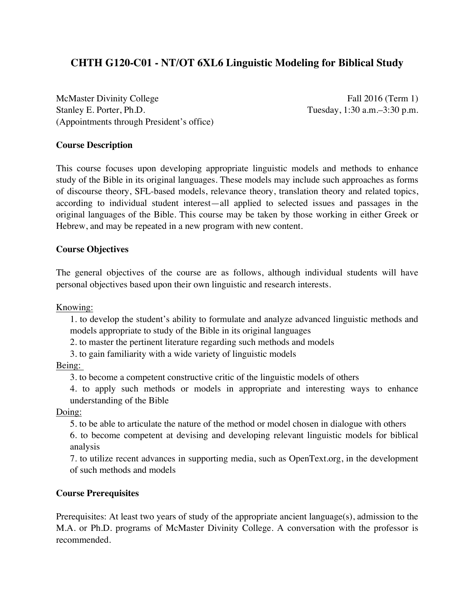# **CHTH G120-C01 - NT/OT 6XL6 Linguistic Modeling for Biblical Study**

McMaster Divinity College Fall 2016 (Term 1) Stanley E. Porter, Ph.D. Tuesday, 1:30 a.m. -3:30 p.m. (Appointments through President's office)

# **Course Description**

This course focuses upon developing appropriate linguistic models and methods to enhance study of the Bible in its original languages. These models may include such approaches as forms of discourse theory, SFL-based models, relevance theory, translation theory and related topics, according to individual student interest—all applied to selected issues and passages in the original languages of the Bible. This course may be taken by those working in either Greek or Hebrew, and may be repeated in a new program with new content.

# **Course Objectives**

The general objectives of the course are as follows, although individual students will have personal objectives based upon their own linguistic and research interests.

Knowing:

1. to develop the student's ability to formulate and analyze advanced linguistic methods and models appropriate to study of the Bible in its original languages

2. to master the pertinent literature regarding such methods and models

3. to gain familiarity with a wide variety of linguistic models

Being:

3. to become a competent constructive critic of the linguistic models of others

4. to apply such methods or models in appropriate and interesting ways to enhance understanding of the Bible

Doing:

5. to be able to articulate the nature of the method or model chosen in dialogue with others

6. to become competent at devising and developing relevant linguistic models for biblical analysis

7. to utilize recent advances in supporting media, such as OpenText.org, in the development of such methods and models

## **Course Prerequisites**

Prerequisites: At least two years of study of the appropriate ancient language(s), admission to the M.A. or Ph.D. programs of McMaster Divinity College. A conversation with the professor is recommended.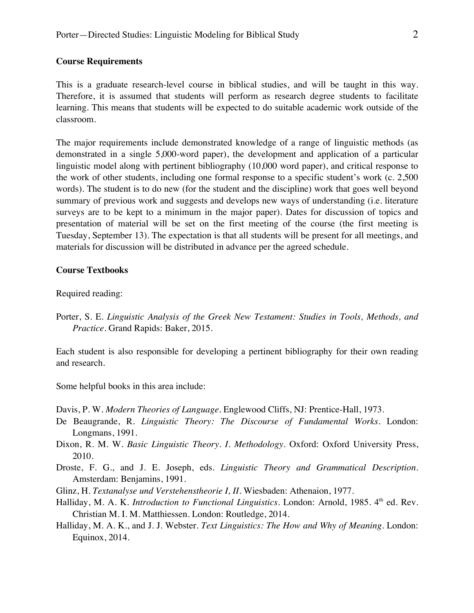#### **Course Requirements**

This is a graduate research-level course in biblical studies, and will be taught in this way. Therefore, it is assumed that students will perform as research degree students to facilitate learning. This means that students will be expected to do suitable academic work outside of the classroom.

The major requirements include demonstrated knowledge of a range of linguistic methods (as demonstrated in a single 5,000-word paper), the development and application of a particular linguistic model along with pertinent bibliography (10,000 word paper), and critical response to the work of other students, including one formal response to a specific student's work (c. 2,500 words). The student is to do new (for the student and the discipline) work that goes well beyond summary of previous work and suggests and develops new ways of understanding (i.e. literature surveys are to be kept to a minimum in the major paper). Dates for discussion of topics and presentation of material will be set on the first meeting of the course (the first meeting is Tuesday, September 13). The expectation is that all students will be present for all meetings, and materials for discussion will be distributed in advance per the agreed schedule.

#### **Course Textbooks**

Required reading:

Porter, S. E. *Linguistic Analysis of the Greek New Testament: Studies in Tools, Methods, and Practice*. Grand Rapids: Baker, 2015.

Each student is also responsible for developing a pertinent bibliography for their own reading and research.

Some helpful books in this area include:

Davis, P. W. *Modern Theories of Language*. Englewood Cliffs, NJ: Prentice-Hall, 1973.

- De Beaugrande, R. *Linguistic Theory: The Discourse of Fundamental Works*. London: Longmans, 1991.
- Dixon, R. M. W. *Basic Linguistic Theory. I. Methodology.* Oxford: Oxford University Press, 2010.
- Droste, F. G., and J. E. Joseph, eds. *Linguistic Theory and Grammatical Description*. Amsterdam: Benjamins, 1991.
- Glinz, H. *Textanalyse und Verstehenstheorie I, II*. Wiesbaden: Athenaion, 1977.
- Halliday, M. A. K. *Introduction to Functional Linguistics*. London: Arnold, 1985. 4<sup>th</sup> ed. Rev. Christian M. I. M. Matthiessen. London: Routledge, 2014.
- Halliday, M. A. K., and J. J. Webster. *Text Linguistics: The How and Why of Meaning*. London: Equinox, 2014.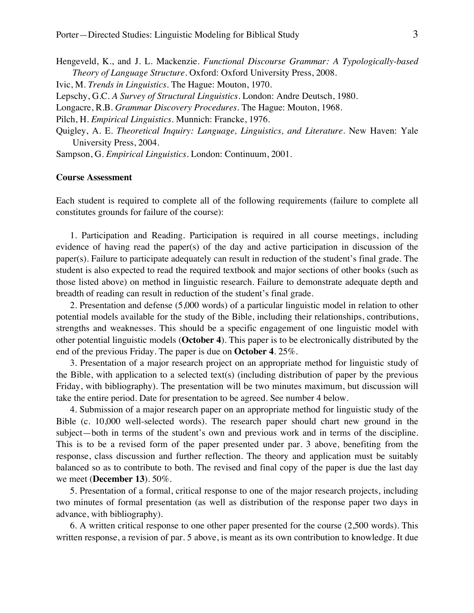Hengeveld, K., and J. L. Mackenzie. *Functional Discourse Grammar: A Typologically-based Theory of Language Structure*. Oxford: Oxford University Press, 2008. Ivic, M. *Trends in Linguistics.* The Hague: Mouton, 1970. Lepschy, G.C. *A Survey of Structural Linguistics*. London: Andre Deutsch, 1980. Longacre, R.B. *Grammar Discovery Procedures.* The Hague: Mouton, 1968. Pilch, H. *Empirical Linguistics*. Munnich: Francke, 1976. Quigley, A. E. *Theoretical Inquiry: Language, Linguistics, and Literature*. New Haven: Yale University Press, 2004.

Sampson, G. *Empirical Linguistics*. London: Continuum, 2001.

#### **Course Assessment**

Each student is required to complete all of the following requirements (failure to complete all constitutes grounds for failure of the course):

1. Participation and Reading. Participation is required in all course meetings, including evidence of having read the paper(s) of the day and active participation in discussion of the paper(s). Failure to participate adequately can result in reduction of the student's final grade. The student is also expected to read the required textbook and major sections of other books (such as those listed above) on method in linguistic research. Failure to demonstrate adequate depth and breadth of reading can result in reduction of the student's final grade.

2. Presentation and defense (5,000 words) of a particular linguistic model in relation to other potential models available for the study of the Bible, including their relationships, contributions, strengths and weaknesses. This should be a specific engagement of one linguistic model with other potential linguistic models (**October 4**). This paper is to be electronically distributed by the end of the previous Friday. The paper is due on **October 4**. 25%.

3. Presentation of a major research project on an appropriate method for linguistic study of the Bible, with application to a selected text(s) (including distribution of paper by the previous Friday, with bibliography). The presentation will be two minutes maximum, but discussion will take the entire period. Date for presentation to be agreed. See number 4 below.

4. Submission of a major research paper on an appropriate method for linguistic study of the Bible (c. 10,000 well-selected words). The research paper should chart new ground in the subject—both in terms of the student's own and previous work and in terms of the discipline. This is to be a revised form of the paper presented under par. 3 above, benefiting from the response, class discussion and further reflection. The theory and application must be suitably balanced so as to contribute to both. The revised and final copy of the paper is due the last day we meet (**December 13**). 50%.

5. Presentation of a formal, critical response to one of the major research projects, including two minutes of formal presentation (as well as distribution of the response paper two days in advance, with bibliography).

6. A written critical response to one other paper presented for the course (2,500 words). This written response, a revision of par. 5 above, is meant as its own contribution to knowledge. It due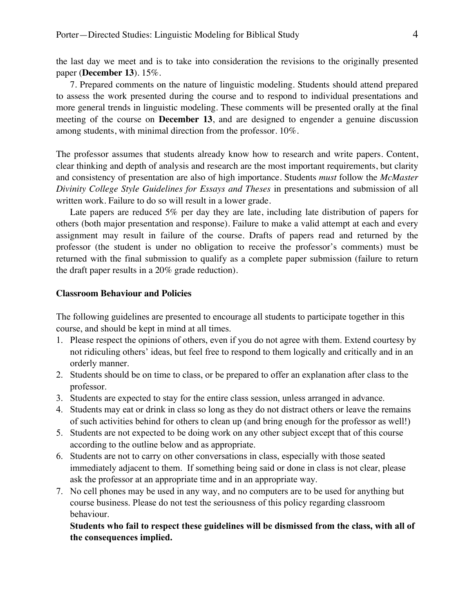the last day we meet and is to take into consideration the revisions to the originally presented paper (**December 13**). 15%.

7. Prepared comments on the nature of linguistic modeling. Students should attend prepared to assess the work presented during the course and to respond to individual presentations and more general trends in linguistic modeling. These comments will be presented orally at the final meeting of the course on **December 13**, and are designed to engender a genuine discussion among students, with minimal direction from the professor. 10%.

The professor assumes that students already know how to research and write papers. Content, clear thinking and depth of analysis and research are the most important requirements, but clarity and consistency of presentation are also of high importance. Students *must* follow the *McMaster Divinity College Style Guidelines for Essays and Theses* in presentations and submission of all written work. Failure to do so will result in a lower grade.

Late papers are reduced 5% per day they are late, including late distribution of papers for others (both major presentation and response). Failure to make a valid attempt at each and every assignment may result in failure of the course. Drafts of papers read and returned by the professor (the student is under no obligation to receive the professor's comments) must be returned with the final submission to qualify as a complete paper submission (failure to return the draft paper results in a 20% grade reduction).

## **Classroom Behaviour and Policies**

The following guidelines are presented to encourage all students to participate together in this course, and should be kept in mind at all times.

- 1. Please respect the opinions of others, even if you do not agree with them. Extend courtesy by not ridiculing others' ideas, but feel free to respond to them logically and critically and in an orderly manner.
- 2. Students should be on time to class, or be prepared to offer an explanation after class to the professor.
- 3. Students are expected to stay for the entire class session, unless arranged in advance.
- 4. Students may eat or drink in class so long as they do not distract others or leave the remains of such activities behind for others to clean up (and bring enough for the professor as well!)
- 5. Students are not expected to be doing work on any other subject except that of this course according to the outline below and as appropriate.
- 6. Students are not to carry on other conversations in class, especially with those seated immediately adjacent to them. If something being said or done in class is not clear, please ask the professor at an appropriate time and in an appropriate way.
- 7. No cell phones may be used in any way, and no computers are to be used for anything but course business. Please do not test the seriousness of this policy regarding classroom behaviour.

**Students who fail to respect these guidelines will be dismissed from the class, with all of the consequences implied.**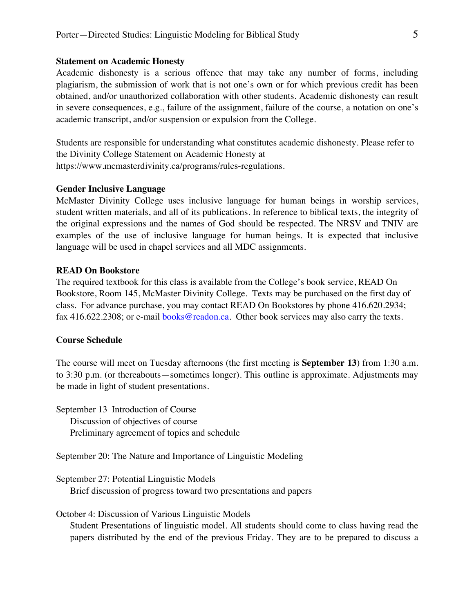#### **Statement on Academic Honesty**

Academic dishonesty is a serious offence that may take any number of forms, including plagiarism, the submission of work that is not one's own or for which previous credit has been obtained, and/or unauthorized collaboration with other students. Academic dishonesty can result in severe consequences, e.g., failure of the assignment, failure of the course, a notation on one's academic transcript, and/or suspension or expulsion from the College.

Students are responsible for understanding what constitutes academic dishonesty. Please refer to the Divinity College Statement on Academic Honesty at https://www.mcmasterdivinity.ca/programs/rules-regulations.

## **Gender Inclusive Language**

McMaster Divinity College uses inclusive language for human beings in worship services, student written materials, and all of its publications. In reference to biblical texts, the integrity of the original expressions and the names of God should be respected. The NRSV and TNIV are examples of the use of inclusive language for human beings. It is expected that inclusive language will be used in chapel services and all MDC assignments.

### **READ On Bookstore**

The required textbook for this class is available from the College's book service, READ On Bookstore, Room 145, McMaster Divinity College. Texts may be purchased on the first day of class. For advance purchase, you may contact READ On Bookstores by phone 416.620.2934; fax 416.622.2308; or e-mail books@readon.ca. Other book services may also carry the texts.

#### **Course Schedule**

The course will meet on Tuesday afternoons (the first meeting is **September 13**) from 1:30 a.m. to 3:30 p.m. (or thereabouts—sometimes longer). This outline is approximate. Adjustments may be made in light of student presentations.

September 13 Introduction of Course Discussion of objectives of course Preliminary agreement of topics and schedule

September 20: The Nature and Importance of Linguistic Modeling

September 27: Potential Linguistic Models Brief discussion of progress toward two presentations and papers

October 4: Discussion of Various Linguistic Models Student Presentations of linguistic model. All students should come to class having read the papers distributed by the end of the previous Friday. They are to be prepared to discuss a